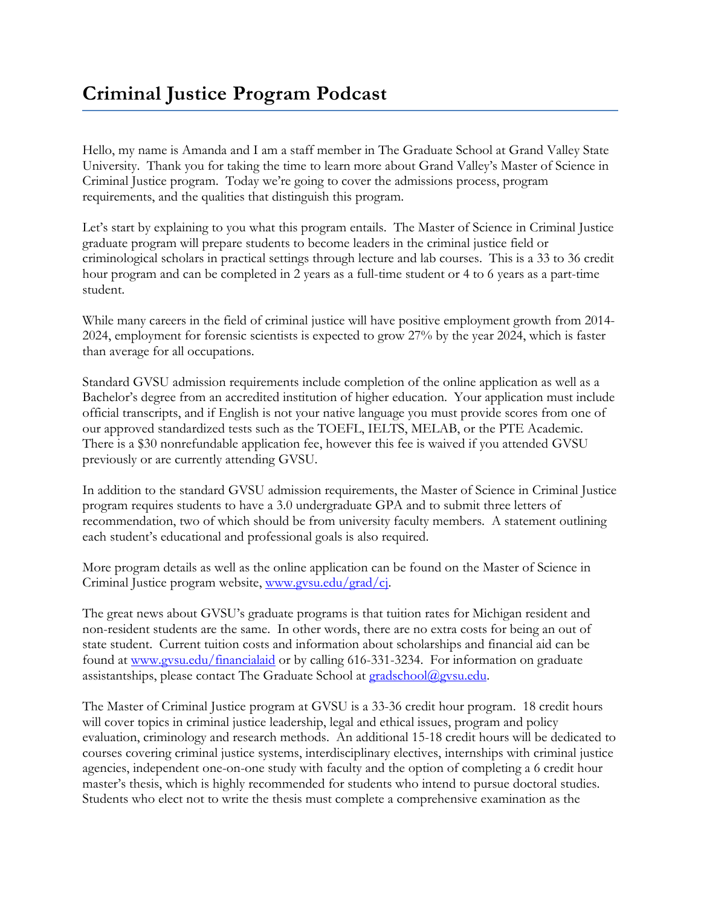Hello, my name is Amanda and I am a staff member in The Graduate School at Grand Valley State University. Thank you for taking the time to learn more about Grand Valley's Master of Science in Criminal Justice program. Today we're going to cover the admissions process, program requirements, and the qualities that distinguish this program.

Let's start by explaining to you what this program entails. The Master of Science in Criminal Justice graduate program will prepare students to become leaders in the criminal justice field or criminological scholars in practical settings through lecture and lab courses. This is a 33 to 36 credit hour program and can be completed in 2 years as a full-time student or 4 to 6 years as a part-time student.

While many careers in the field of criminal justice will have positive employment growth from 2014- 2024, employment for forensic scientists is expected to grow 27% by the year 2024, which is faster than average for all occupations.

Standard GVSU admission requirements include completion of the online application as well as a Bachelor's degree from an accredited institution of higher education. Your application must include official transcripts, and if English is not your native language you must provide scores from one of our approved standardized tests such as the TOEFL, IELTS, MELAB, or the PTE Academic. There is a \$30 nonrefundable application fee, however this fee is waived if you attended GVSU previously or are currently attending GVSU.

In addition to the standard GVSU admission requirements, the Master of Science in Criminal Justice program requires students to have a 3.0 undergraduate GPA and to submit three letters of recommendation, two of which should be from university faculty members. A statement outlining each student's educational and professional goals is also required.

More program details as well as the online application can be found on the Master of Science in Criminal Justice program website, [www.gvsu.edu/grad/cj.](http://www.gvsu.edu/grad/cj)

The great news about GVSU's graduate programs is that tuition rates for Michigan resident and non-resident students are the same. In other words, there are no extra costs for being an out of state student. Current tuition costs and information about scholarships and financial aid can be found at [www.gvsu.edu/financialaid](file://///OFFICE.ADS.GVSU.EDU/DFS/Administration-Data/GRADSTUD/Podcasts/Program%20Specific%20Podcasts/Criminal%20Justice/www.gvsu.edu/financialaid) or by calling 616-331-3234. For information on graduate assistantships, please contact The Graduate School at [gradschool@gvsu.edu.](mailto:gradschool@gvsu.edu)

The Master of Criminal Justice program at GVSU is a 33-36 credit hour program. 18 credit hours will cover topics in criminal justice leadership, legal and ethical issues, program and policy evaluation, criminology and research methods. An additional 15-18 credit hours will be dedicated to courses covering criminal justice systems, interdisciplinary electives, internships with criminal justice agencies, independent one-on-one study with faculty and the option of completing a 6 credit hour master's thesis, which is highly recommended for students who intend to pursue doctoral studies. Students who elect not to write the thesis must complete a comprehensive examination as the